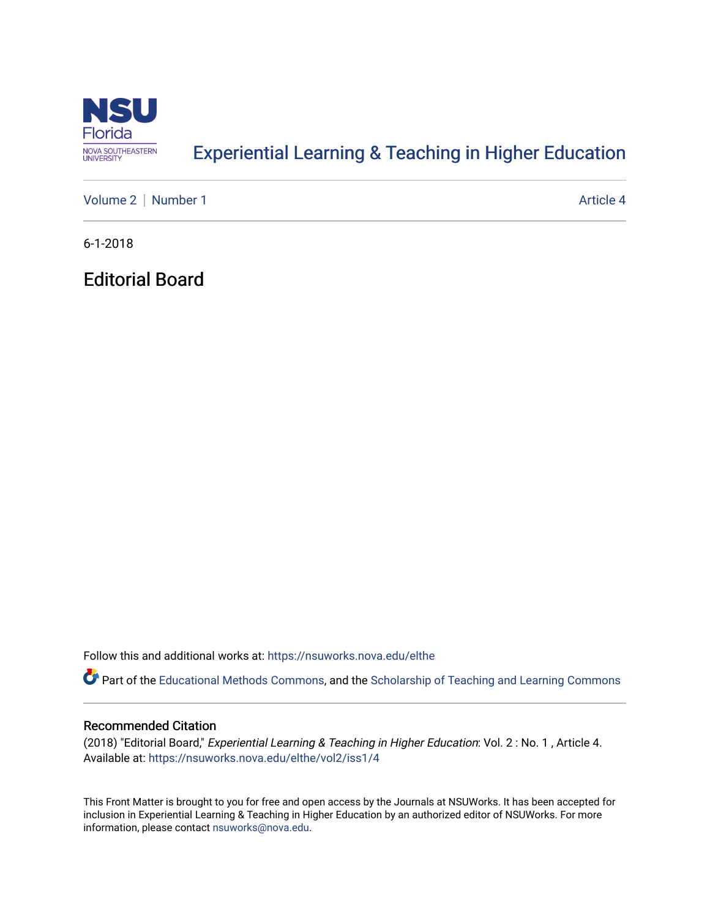

## [Experiential Learning & Teaching in Higher Education](https://nsuworks.nova.edu/elthe)

[Volume 2](https://nsuworks.nova.edu/elthe/vol2) | [Number 1](https://nsuworks.nova.edu/elthe/vol2/iss1) Article 4

6-1-2018

Editorial Board

Follow this and additional works at: [https://nsuworks.nova.edu/elthe](https://nsuworks.nova.edu/elthe?utm_source=nsuworks.nova.edu%2Felthe%2Fvol2%2Fiss1%2F4&utm_medium=PDF&utm_campaign=PDFCoverPages)

Part of the [Educational Methods Commons,](http://network.bepress.com/hgg/discipline/1227?utm_source=nsuworks.nova.edu%2Felthe%2Fvol2%2Fiss1%2F4&utm_medium=PDF&utm_campaign=PDFCoverPages) and the [Scholarship of Teaching and Learning Commons](http://network.bepress.com/hgg/discipline/1328?utm_source=nsuworks.nova.edu%2Felthe%2Fvol2%2Fiss1%2F4&utm_medium=PDF&utm_campaign=PDFCoverPages) 

## Recommended Citation

(2018) "Editorial Board," Experiential Learning & Teaching in Higher Education: Vol. 2 : No. 1 , Article 4. Available at: [https://nsuworks.nova.edu/elthe/vol2/iss1/4](https://nsuworks.nova.edu/elthe/vol2/iss1/4?utm_source=nsuworks.nova.edu%2Felthe%2Fvol2%2Fiss1%2F4&utm_medium=PDF&utm_campaign=PDFCoverPages)

This Front Matter is brought to you for free and open access by the Journals at NSUWorks. It has been accepted for inclusion in Experiential Learning & Teaching in Higher Education by an authorized editor of NSUWorks. For more information, please contact [nsuworks@nova.edu.](mailto:nsuworks@nova.edu)